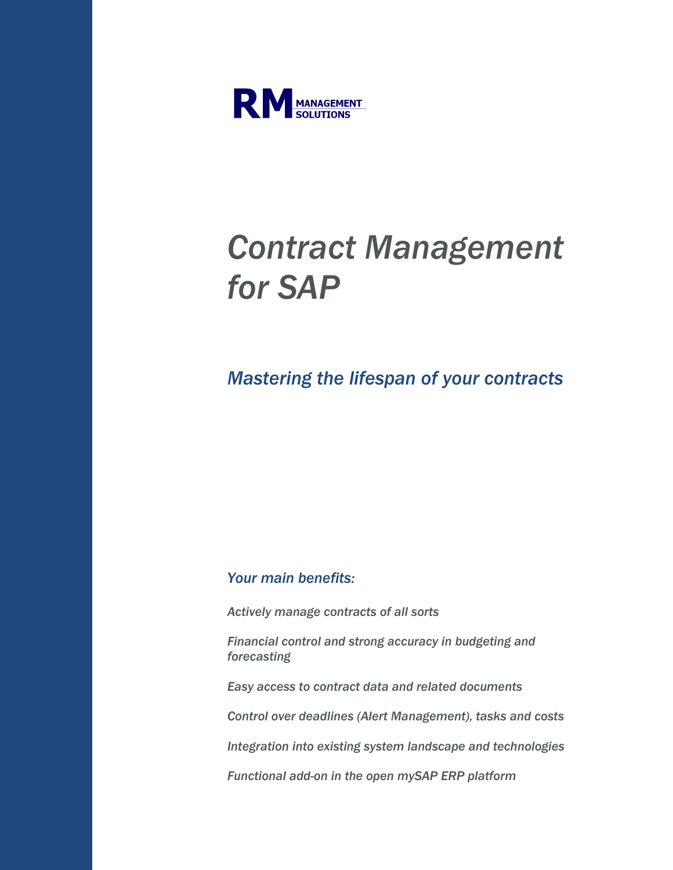

## Contract Management for SAP

## Mastering the lifespan of your contracts

## Your main benefits:

Actively manage contracts of all sorts

Financial control and strong accuracy in budgeting and forecasting

Easy access to contract data and related documents

Control over deadlines (Alert Management), tasks and costs

Integration into existing system landscape and technologies

Functional add-on in the open mySAP ERP platform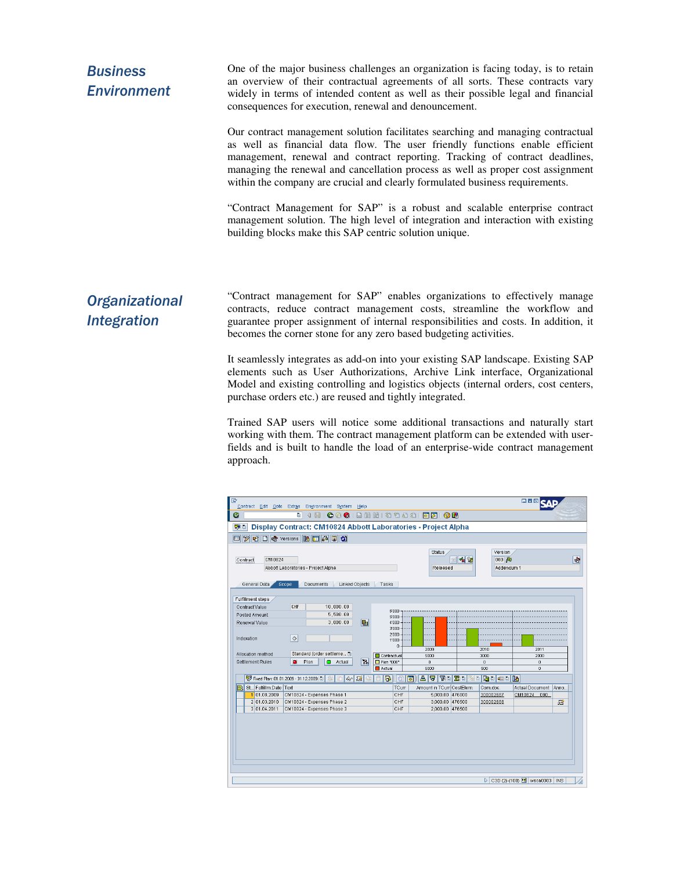| <b>Business</b><br><b>Environment</b> | One of the major business challenges an organization is facing today, is to retain<br>an overview of their contractual agreements of all sorts. These contracts vary<br>widely in terms of intended content as well as their possible legal and financial<br>consequences for execution, renewal and denouncement.                                                                                                |  |  |
|---------------------------------------|-------------------------------------------------------------------------------------------------------------------------------------------------------------------------------------------------------------------------------------------------------------------------------------------------------------------------------------------------------------------------------------------------------------------|--|--|
|                                       | Our contract management solution facilitates searching and managing contractual<br>as well as financial data flow. The user friendly functions enable efficient<br>management, renewal and contract reporting. Tracking of contract deadlines,<br>managing the renewal and cancellation process as well as proper cost assignment<br>within the company are crucial and clearly formulated business requirements. |  |  |
|                                       | "Contract Management for SAP" is a robust and scalable enterprise contract<br>management solution. The high level of integration and interaction with existing<br>building blocks make this SAP centric solution unique.                                                                                                                                                                                          |  |  |
| <b>Organizational</b>                 | "Contract management for SAP" enables organizations to effectively manage<br>. 1994 - 1994 - 1994 - 1994 - 1994 - 1994 - 1995 - 1996 - 1997 - 1998 - 1999 - 1999 - 1999 - 1999 - 1999 - 19                                                                                                                                                                                                                        |  |  |

Integration

contracts, reduce contract management costs, streamline the workflow and guarantee proper assignment of internal responsibilities and costs. In addition, it becomes the corner stone for any zero based budgeting activities.

It seamlessly integrates as add-on into your existing SAP landscape. Existing SAP elements such as User Authorizations, Archive Link interface, Organizational Model and existing controlling and logistics objects (internal orders, cost centers, purchase orders etc.) are reused and tightly integrated.

Trained SAP users will notice some additional transactions and naturally start working with them. The contract management platform can be extended with userfields and is built to handle the load of an enterprise-wide contract management approach.

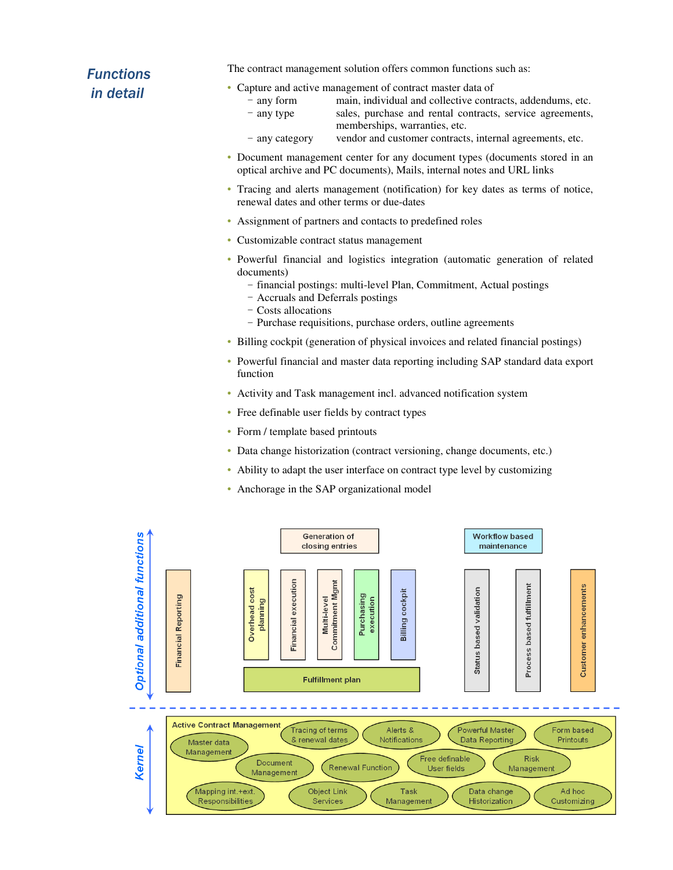## **Functions** in detail

The contract management solution offers common functions such as:

• Capture and active management of contract master data of

- any form main, individual and collective contracts, addendums, etc.
- any type sales, purchase and rental contracts, service agreements, memberships, warranties, etc.
- any category vendor and customer contracts, internal agreements, etc.
- Document management center for any document types (documents stored in an optical archive and PC documents), Mails, internal notes and URL links
- Tracing and alerts management (notification) for key dates as terms of notice, renewal dates and other terms or due-dates
- Assignment of partners and contacts to predefined roles
- Customizable contract status management
- Powerful financial and logistics integration (automatic generation of related documents)
	- financial postings: multi-level Plan, Commitment, Actual postings
	- Accruals and Deferrals postings
	- Costs allocations
	- Purchase requisitions, purchase orders, outline agreements
- Billing cockpit (generation of physical invoices and related financial postings)
- Powerful financial and master data reporting including SAP standard data export function
- Activity and Task management incl. advanced notification system
- Free definable user fields by contract types
- Form / template based printouts
- Data change historization (contract versioning, change documents, etc.)
- Ability to adapt the user interface on contract type level by customizing
- Anchorage in the SAP organizational model

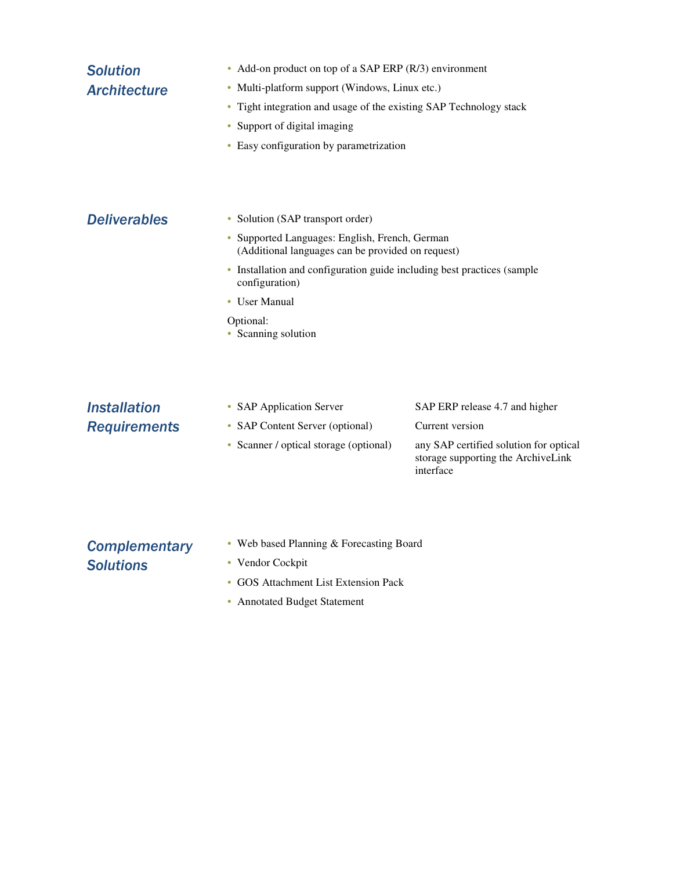| <b>Solution</b>     | • Add-on product on top of a SAP ERP $(R/3)$ environment                                                 |                                                                                           |  |  |
|---------------------|----------------------------------------------------------------------------------------------------------|-------------------------------------------------------------------------------------------|--|--|
| <b>Architecture</b> | Multi-platform support (Windows, Linux etc.)<br>۰                                                        |                                                                                           |  |  |
|                     | Tight integration and usage of the existing SAP Technology stack<br>۰<br>Support of digital imaging<br>۰ |                                                                                           |  |  |
|                     |                                                                                                          |                                                                                           |  |  |
|                     |                                                                                                          |                                                                                           |  |  |
| <b>Deliverables</b> | • Solution (SAP transport order)                                                                         |                                                                                           |  |  |
|                     | • Supported Languages: English, French, German<br>(Additional languages can be provided on request)      |                                                                                           |  |  |
|                     | • Installation and configuration guide including best practices (sample<br>configuration)                |                                                                                           |  |  |
|                     | • User Manual                                                                                            |                                                                                           |  |  |
|                     | Optional:<br>• Scanning solution                                                                         |                                                                                           |  |  |
|                     |                                                                                                          |                                                                                           |  |  |
| <b>Installation</b> | • SAP Application Server                                                                                 | SAP ERP release 4.7 and higher                                                            |  |  |
| <b>Requirements</b> | • SAP Content Server (optional)                                                                          | Current version                                                                           |  |  |
|                     | • Scanner / optical storage (optional)                                                                   | any SAP certified solution for optical<br>storage supporting the ArchiveLink<br>interface |  |  |
|                     |                                                                                                          |                                                                                           |  |  |

- **Complementary Solutions**
- Web based Planning & Forecasting Board
- Vendor Cockpit
- GOS Attachment List Extension Pack
- Annotated Budget Statement